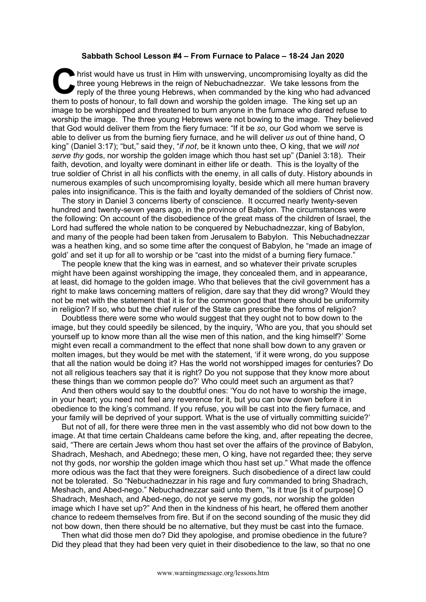## **Sabbath School Lesson #4 – From Furnace to Palace – 18-24 Jan 2020**

hrist would have us trust in Him with unswerving, uncompromising loyalty as did the three young Hebrews in the reign of Nebuchadnezzar. We take lessons from the reply of the three young Hebrews, when commanded by the king who had advanced them to posts of honour, to fall down and worship the golden image. The king set up an image to be worshipped and threatened to burn anyone in the furnace who dared refuse to worship the image. The three young Hebrews were not bowing to the image. They believed that God would deliver them from the fiery furnace: "If it be *so*, our God whom we serve is able to deliver us from the burning fiery furnace, and he will deliver *us* out of thine hand, O king" (Daniel 3:17); "but," said they, "*if not*, be it known unto thee, O king, that we *will not serve thy* gods, nor worship the golden image which thou hast set up" (Daniel 3:18). Their faith, devotion, and loyalty were dominant in either life or death. This is the loyalty of the true soldier of Christ in all his conflicts with the enemy, in all calls of duty. History abounds in numerous examples of such uncompromising loyalty, beside which all mere human bravery pales into insignificance. This is the faith and loyalty demanded of the soldiers of Christ now. C hristen

The story in Daniel 3 concerns liberty of conscience. It occurred nearly twenty-seven hundred and twenty-seven years ago, in the province of Babylon. The circumstances were the following: On account of the disobedience of the great mass of the children of Israel, the Lord had suffered the whole nation to be conquered by Nebuchadnezzar, king of Babylon, and many of the people had been taken from Jerusalem to Babylon. This Nebuchadnezzar was a heathen king, and so some time after the conquest of Babylon, he "made an image of gold' and set it up for all to worship or be "cast into the midst of a burning fiery furnace."

The people knew that the king was in earnest, and so whatever their private scruples might have been against worshipping the image, they concealed them, and in appearance, at least, did homage to the golden image. Who that believes that the civil government has a right to make laws concerning matters of religion, dare say that they did wrong? Would they not be met with the statement that it is for the common good that there should be uniformity in religion? If so, who but the chief ruler of the State can prescribe the forms of religion?

Doubtless there were some who would suggest that they ought not to bow down to the image, but they could speedily be silenced, by the inquiry, 'Who are you, that you should set yourself up to know more than all the wise men of this nation, and the king himself?' Some might even recall a commandment to the effect that none shall bow down to any graven or molten images, but they would be met with the statement, 'if it were wrong, do you suppose that all the nation would be doing it? Has the world not worshipped images for centuries? Do not all religious teachers say that it is right? Do you not suppose that they know more about these things than we common people do?' Who could meet such an argument as that?

And then others would say to the doubtful ones: 'You do not have to worship the image, in your heart; you need not feel any reverence for it, but you can bow down before it in obedience to the king's command. If you refuse, you will be cast into the fiery furnace, and your family will be deprived of your support. What is the use of virtually committing suicide?'

But not of all, for there were three men in the vast assembly who did not bow down to the image. At that time certain Chaldeans came before the king, and, after repeating the decree, said, "There are certain Jews whom thou hast set over the affairs of the province of Babylon, Shadrach, Meshach, and Abednego; these men, O king, have not regarded thee; they serve not thy gods, nor worship the golden image which thou hast set up." What made the offence more odious was the fact that they were foreigners. Such disobedience of a direct law could not be tolerated. So "Nebuchadnezzar in his rage and fury commanded to bring Shadrach, Meshach, and Abed-nego." Nebuchadnezzar said unto them, "Is it true [is it of purpose] O Shadrach, Meshach, and Abed-nego, do not ye serve my gods, nor worship the golden image which I have set up?" And then in the kindness of his heart, he offered them another chance to redeem themselves from fire. But if on the second sounding of the music they did not bow down, then there should be no alternative, but they must be cast into the furnace.

Then what did those men do? Did they apologise, and promise obedience in the future? Did they plead that they had been very quiet in their disobedience to the law, so that no one